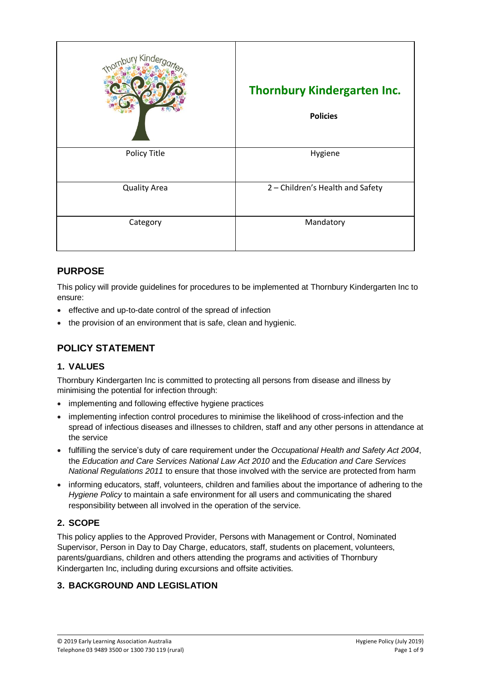| Kinde               | <b>Thornbury Kindergarten Inc.</b><br><b>Policies</b> |
|---------------------|-------------------------------------------------------|
| Policy Title        | Hygiene                                               |
| <b>Quality Area</b> | 2 - Children's Health and Safety                      |
| Category            | Mandatory                                             |

## **PURPOSE**

This policy will provide guidelines for procedures to be implemented at Thornbury Kindergarten Inc to ensure:

- effective and up-to-date control of the spread of infection
- the provision of an environment that is safe, clean and hygienic.

# **POLICY STATEMENT**

## **1. VALUES**

Thornbury Kindergarten Inc is committed to protecting all persons from disease and illness by minimising the potential for infection through:

- implementing and following effective hygiene practices
- implementing infection control procedures to minimise the likelihood of cross-infection and the spread of infectious diseases and illnesses to children, staff and any other persons in attendance at the service
- fulfilling the service's duty of care requirement under the *Occupational Health and Safety Act 2004*, the *Education and Care Services National Law Act 2010* and the *Education and Care Services National Regulations 2011* to ensure that those involved with the service are protected from harm
- informing educators, staff, volunteers, children and families about the importance of adhering to the *Hygiene Policy* to maintain a safe environment for all users and communicating the shared responsibility between all involved in the operation of the service.

## **2. SCOPE**

This policy applies to the Approved Provider, Persons with Management or Control, Nominated Supervisor, Person in Day to Day Charge, educators, staff, students on placement, volunteers, parents/guardians, children and others attending the programs and activities of Thornbury Kindergarten Inc, including during excursions and offsite activities.

## **3. BACKGROUND AND LEGISLATION**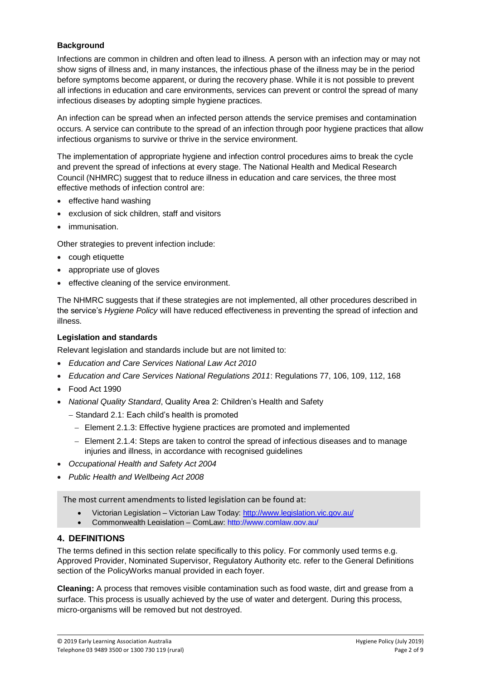#### **Background**

Infections are common in children and often lead to illness. A person with an infection may or may not show signs of illness and, in many instances, the infectious phase of the illness may be in the period before symptoms become apparent, or during the recovery phase. While it is not possible to prevent all infections in education and care environments, services can prevent or control the spread of many infectious diseases by adopting simple hygiene practices.

An infection can be spread when an infected person attends the service premises and contamination occurs. A service can contribute to the spread of an infection through poor hygiene practices that allow infectious organisms to survive or thrive in the service environment.

The implementation of appropriate hygiene and infection control procedures aims to break the cycle and prevent the spread of infections at every stage. The National Health and Medical Research Council (NHMRC) suggest that to reduce illness in education and care services, the three most effective methods of infection control are:

- effective hand washing
- exclusion of sick children, staff and visitors
- immunisation.

Other strategies to prevent infection include:

- cough etiquette
- appropriate use of gloves
- **•** effective cleaning of the service environment.

The NHMRC suggests that if these strategies are not implemented, all other procedures described in the service's *Hygiene Policy* will have reduced effectiveness in preventing the spread of infection and illness.

#### **Legislation and standards**

Relevant legislation and standards include but are not limited to:

- *Education and Care Services National Law Act 2010*
- *Education and Care Services National Regulations 2011*: Regulations 77, 106, 109, 112, 168
- Food Act 1990
- *National Quality Standard*, Quality Area 2: Children's Health and Safety
	- Standard 2.1: Each child's health is promoted
		- Element 2.1.3: Effective hygiene practices are promoted and implemented
		- Element 2.1.4: Steps are taken to control the spread of infectious diseases and to manage injuries and illness, in accordance with recognised guidelines
- *Occupational Health and Safety Act 2004*
- *Public Health and Wellbeing Act 2008*

The most current amendments to listed legislation can be found at:

- Victorian Legislation Victorian Law Today:<http://www.legislation.vic.gov.au/>
- Commonwealth Legislation ComLaw:<http://www.comlaw.gov.au/>

#### **4. DEFINITIONS**

The terms defined in this section relate specifically to this policy. For commonly used terms e.g. Approved Provider, Nominated Supervisor, Regulatory Authority etc. refer to the General Definitions section of the PolicyWorks manual provided in each foyer.

**Cleaning:** A process that removes visible contamination such as food waste, dirt and grease from a surface. This process is usually achieved by the use of water and detergent. During this process, micro-organisms will be removed but not destroyed.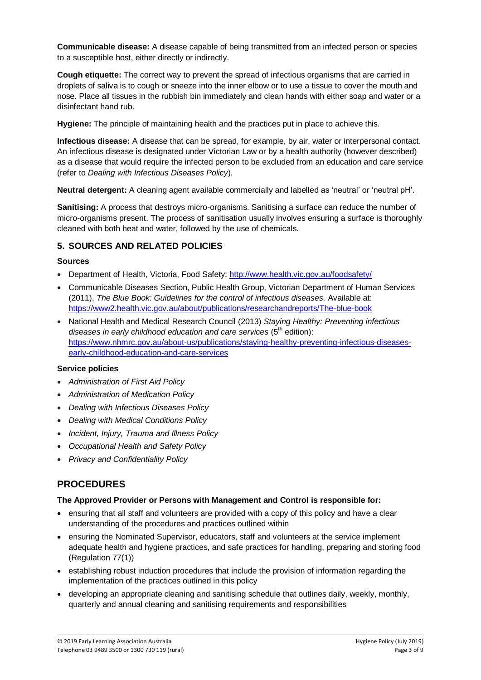**Communicable disease:** A disease capable of being transmitted from an infected person or species to a susceptible host, either directly or indirectly.

**Cough etiquette:** The correct way to prevent the spread of infectious organisms that are carried in droplets of saliva is to cough or sneeze into the inner elbow or to use a tissue to cover the mouth and nose. Place all tissues in the rubbish bin immediately and clean hands with either soap and water or a disinfectant hand rub.

**Hygiene:** The principle of maintaining health and the practices put in place to achieve this.

**Infectious disease:** A disease that can be spread, for example, by air, water or interpersonal contact. An infectious disease is designated under Victorian Law or by a health authority (however described) as a disease that would require the infected person to be excluded from an education and care service (refer to *Dealing with Infectious Diseases Policy*).

**Neutral detergent:** A cleaning agent available commercially and labelled as 'neutral' or 'neutral pH'.

**Sanitising:** A process that destroys micro-organisms. Sanitising a surface can reduce the number of micro-organisms present. The process of sanitisation usually involves ensuring a surface is thoroughly cleaned with both heat and water, followed by the use of chemicals.

#### **5. SOURCES AND RELATED POLICIES**

#### **Sources**

- Department of Health, Victoria, Food Safety:<http://www.health.vic.gov.au/foodsafety/>
- Communicable Diseases Section, Public Health Group, Victorian Department of Human Services (2011), *The Blue Book: Guidelines for the control of infectious diseases.* Available at: <https://www2.health.vic.gov.au/about/publications/researchandreports/The-blue-book>
- National Health and Medical Research Council (2013) *Staying Healthy: Preventing infectious*  diseases in early childhood education and care services (5<sup>th</sup> edition): [https://www.nhmrc.gov.au/about-us/publications/staying-healthy-preventing-infectious-diseases](https://www.nhmrc.gov.au/about-us/publications/staying-healthy-preventing-infectious-diseases-early-childhood-education-and-care-services)[early-childhood-education-and-care-services](https://www.nhmrc.gov.au/about-us/publications/staying-healthy-preventing-infectious-diseases-early-childhood-education-and-care-services)

#### **Service policies**

- *Administration of First Aid Policy*
- *Administration of Medication Policy*
- *Dealing with Infectious Diseases Policy*
- *Dealing with Medical Conditions Policy*
- *Incident, Injury, Trauma and Illness Policy*
- *Occupational Health and Safety Policy*
- *Privacy and Confidentiality Policy*

## **PROCEDURES**

#### **The Approved Provider or Persons with Management and Control is responsible for:**

- ensuring that all staff and volunteers are provided with a copy of this policy and have a clear understanding of the procedures and practices outlined within
- ensuring the Nominated Supervisor, educators, staff and volunteers at the service implement adequate health and hygiene practices, and safe practices for handling, preparing and storing food (Regulation 77(1))
- establishing robust induction procedures that include the provision of information regarding the implementation of the practices outlined in this policy
- developing an appropriate cleaning and sanitising schedule that outlines daily, weekly, monthly, quarterly and annual cleaning and sanitising requirements and responsibilities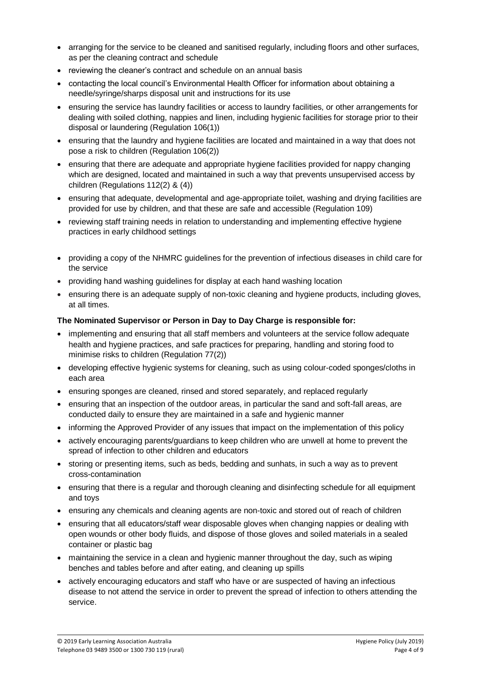- arranging for the service to be cleaned and sanitised regularly, including floors and other surfaces, as per the cleaning contract and schedule
- reviewing the cleaner's contract and schedule on an annual basis
- contacting the local council's Environmental Health Officer for information about obtaining a needle/syringe/sharps disposal unit and instructions for its use
- ensuring the service has laundry facilities or access to laundry facilities, or other arrangements for dealing with soiled clothing, nappies and linen, including hygienic facilities for storage prior to their disposal or laundering (Regulation 106(1))
- ensuring that the laundry and hygiene facilities are located and maintained in a way that does not pose a risk to children (Regulation 106(2))
- ensuring that there are adequate and appropriate hygiene facilities provided for nappy changing which are designed, located and maintained in such a way that prevents unsupervised access by children (Regulations 112(2) & (4))
- ensuring that adequate, developmental and age-appropriate toilet, washing and drying facilities are provided for use by children, and that these are safe and accessible (Regulation 109)
- reviewing staff training needs in relation to understanding and implementing effective hygiene practices in early childhood settings
- providing a copy of the NHMRC guidelines for the prevention of infectious diseases in child care for the service
- providing hand washing guidelines for display at each hand washing location
- ensuring there is an adequate supply of non-toxic cleaning and hygiene products, including gloves, at all times.

#### **The Nominated Supervisor or Person in Day to Day Charge is responsible for:**

- implementing and ensuring that all staff members and volunteers at the service follow adequate health and hygiene practices, and safe practices for preparing, handling and storing food to minimise risks to children (Regulation 77(2))
- developing effective hygienic systems for cleaning, such as using colour-coded sponges/cloths in each area
- ensuring sponges are cleaned, rinsed and stored separately, and replaced regularly
- ensuring that an inspection of the outdoor areas, in particular the sand and soft-fall areas, are conducted daily to ensure they are maintained in a safe and hygienic manner
- informing the Approved Provider of any issues that impact on the implementation of this policy
- actively encouraging parents/guardians to keep children who are unwell at home to prevent the spread of infection to other children and educators
- storing or presenting items, such as beds, bedding and sunhats, in such a way as to prevent cross-contamination
- ensuring that there is a regular and thorough cleaning and disinfecting schedule for all equipment and toys
- ensuring any chemicals and cleaning agents are non-toxic and stored out of reach of children
- ensuring that all educators/staff wear disposable gloves when changing nappies or dealing with open wounds or other body fluids, and dispose of those gloves and soiled materials in a sealed container or plastic bag
- maintaining the service in a clean and hygienic manner throughout the day, such as wiping benches and tables before and after eating, and cleaning up spills
- actively encouraging educators and staff who have or are suspected of having an infectious disease to not attend the service in order to prevent the spread of infection to others attending the service.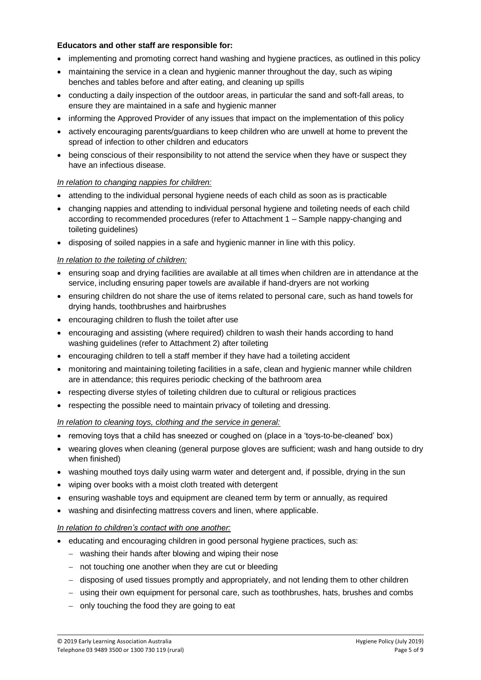#### **Educators and other staff are responsible for:**

- implementing and promoting correct hand washing and hygiene practices, as outlined in this policy
- maintaining the service in a clean and hygienic manner throughout the day, such as wiping benches and tables before and after eating, and cleaning up spills
- conducting a daily inspection of the outdoor areas, in particular the sand and soft-fall areas, to ensure they are maintained in a safe and hygienic manner
- informing the Approved Provider of any issues that impact on the implementation of this policy
- actively encouraging parents/guardians to keep children who are unwell at home to prevent the spread of infection to other children and educators
- being conscious of their responsibility to not attend the service when they have or suspect they have an infectious disease.

#### *In relation to changing nappies for children:*

- attending to the individual personal hygiene needs of each child as soon as is practicable
- changing nappies and attending to individual personal hygiene and toileting needs of each child according to recommended procedures (refer to Attachment 1 – Sample nappy-changing and toileting guidelines)
- disposing of soiled nappies in a safe and hygienic manner in line with this policy.

#### *In relation to the toileting of children:*

- ensuring soap and drying facilities are available at all times when children are in attendance at the service, including ensuring paper towels are available if hand-dryers are not working
- ensuring children do not share the use of items related to personal care, such as hand towels for drying hands, toothbrushes and hairbrushes
- encouraging children to flush the toilet after use
- encouraging and assisting (where required) children to wash their hands according to hand washing guidelines (refer to Attachment 2) after toileting
- encouraging children to tell a staff member if they have had a toileting accident
- monitoring and maintaining toileting facilities in a safe, clean and hygienic manner while children are in attendance; this requires periodic checking of the bathroom area
- respecting diverse styles of toileting children due to cultural or religious practices
- respecting the possible need to maintain privacy of toileting and dressing.

#### *In relation to cleaning toys, clothing and the service in general:*

- removing toys that a child has sneezed or coughed on (place in a 'toys-to-be-cleaned' box)
- wearing gloves when cleaning (general purpose gloves are sufficient; wash and hang outside to dry when finished)
- washing mouthed toys daily using warm water and detergent and, if possible, drying in the sun
- wiping over books with a moist cloth treated with detergent
- ensuring washable toys and equipment are cleaned term by term or annually, as required
- washing and disinfecting mattress covers and linen, where applicable.

#### *In relation to children's contact with one another:*

- educating and encouraging children in good personal hygiene practices, such as:
	- washing their hands after blowing and wiping their nose
	- not touching one another when they are cut or bleeding
	- disposing of used tissues promptly and appropriately, and not lending them to other children
	- $-$  using their own equipment for personal care, such as toothbrushes, hats, brushes and combs
	- only touching the food they are going to eat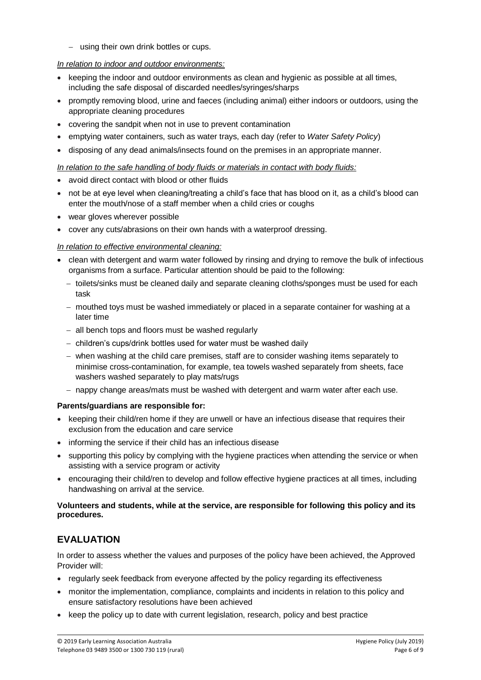- using their own drink bottles or cups.

#### *In relation to indoor and outdoor environments:*

- keeping the indoor and outdoor environments as clean and hygienic as possible at all times, including the safe disposal of discarded needles/syringes/sharps
- promptly removing blood, urine and faeces (including animal) either indoors or outdoors, using the appropriate cleaning procedures
- covering the sandpit when not in use to prevent contamination
- emptying water containers, such as water trays, each day (refer to *Water Safety Policy*)
- disposing of any dead animals/insects found on the premises in an appropriate manner.

#### *In relation to the safe handling of body fluids or materials in contact with body fluids:*

- avoid direct contact with blood or other fluids
- not be at eye level when cleaning/treating a child's face that has blood on it, as a child's blood can enter the mouth/nose of a staff member when a child cries or coughs
- wear gloves wherever possible
- cover any cuts/abrasions on their own hands with a waterproof dressing.

#### *In relation to effective environmental cleaning:*

- clean with detergent and warm water followed by rinsing and drying to remove the bulk of infectious organisms from a surface. Particular attention should be paid to the following:
	- toilets/sinks must be cleaned daily and separate cleaning cloths/sponges must be used for each task
	- mouthed toys must be washed immediately or placed in a separate container for washing at a later time
	- all bench tops and floors must be washed regularly
	- children's cups/drink bottles used for water must be washed daily
	- when washing at the child care premises, staff are to consider washing items separately to minimise cross-contamination, for example, tea towels washed separately from sheets, face washers washed separately to play mats/rugs
	- $-$  nappy change areas/mats must be washed with detergent and warm water after each use.

#### **Parents/guardians are responsible for:**

- keeping their child/ren home if they are unwell or have an infectious disease that requires their exclusion from the education and care service
- informing the service if their child has an infectious disease
- supporting this policy by complying with the hygiene practices when attending the service or when assisting with a service program or activity
- encouraging their child/ren to develop and follow effective hygiene practices at all times, including handwashing on arrival at the service.

#### **Volunteers and students, while at the service, are responsible for following this policy and its procedures.**

## **EVALUATION**

In order to assess whether the values and purposes of the policy have been achieved, the Approved Provider will:

- regularly seek feedback from everyone affected by the policy regarding its effectiveness
- monitor the implementation, compliance, complaints and incidents in relation to this policy and ensure satisfactory resolutions have been achieved
- keep the policy up to date with current legislation, research, policy and best practice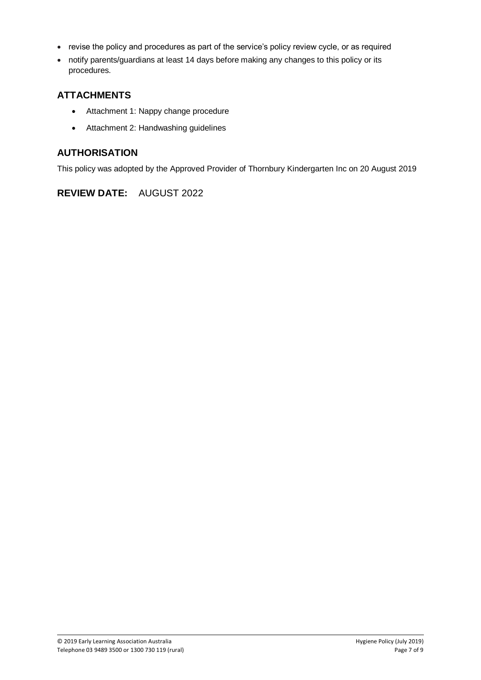- revise the policy and procedures as part of the service's policy review cycle, or as required
- notify parents/guardians at least 14 days before making any changes to this policy or its procedures.

## **ATTACHMENTS**

- Attachment 1: Nappy change procedure
- Attachment 2: Handwashing guidelines

### **AUTHORISATION**

This policy was adopted by the Approved Provider of Thornbury Kindergarten Inc on 20 August 2019

## **REVIEW DATE:** AUGUST 2022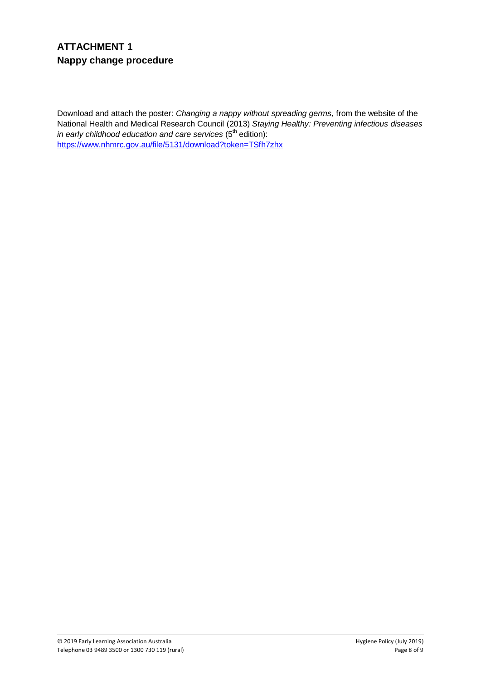# **ATTACHMENT 1 Nappy change procedure**

Download and attach the poster: *Changing a nappy without spreading germs,* from the website of the National Health and Medical Research Council (2013) *Staying Healthy: Preventing infectious diseases in early childhood education and care services* (5<sup>th</sup> edition): <https://www.nhmrc.gov.au/file/5131/download?token=TSfh7zhx>